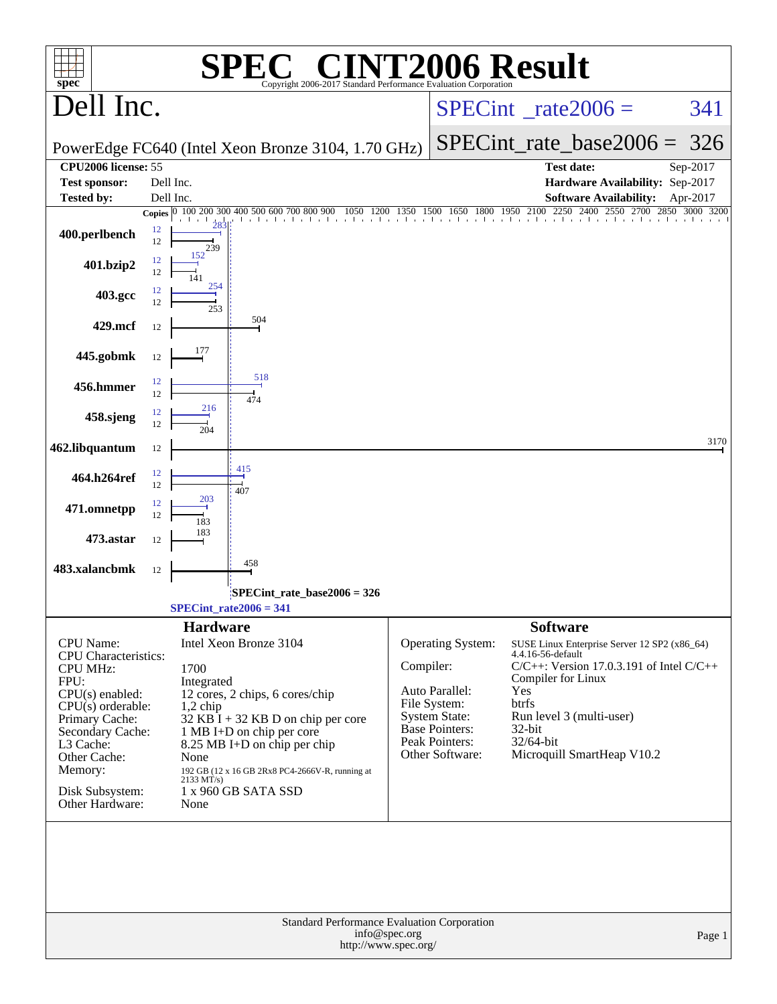| $spec^*$                                                                                                                                                                                                                            | $\mathsf{I}(\overline{\mathbb{R}})$<br>Copyright 2006-2017 Standard Performance Evaluation Corporation                                                                                                                                                                                                                                 | <b>INT2006 Result</b>                                                                                                                                                                                                                                                                                                                                                                                                  |        |
|-------------------------------------------------------------------------------------------------------------------------------------------------------------------------------------------------------------------------------------|----------------------------------------------------------------------------------------------------------------------------------------------------------------------------------------------------------------------------------------------------------------------------------------------------------------------------------------|------------------------------------------------------------------------------------------------------------------------------------------------------------------------------------------------------------------------------------------------------------------------------------------------------------------------------------------------------------------------------------------------------------------------|--------|
| Dell Inc.                                                                                                                                                                                                                           |                                                                                                                                                                                                                                                                                                                                        | $SPECint^{\circ}$ _rate2006 =                                                                                                                                                                                                                                                                                                                                                                                          | 341    |
|                                                                                                                                                                                                                                     | PowerEdge FC640 (Intel Xeon Bronze 3104, 1.70 GHz)                                                                                                                                                                                                                                                                                     | $SPECint$ rate_base2006 =                                                                                                                                                                                                                                                                                                                                                                                              | 326    |
| <b>CPU2006</b> license: 55<br><b>Test sponsor:</b>                                                                                                                                                                                  | Dell Inc.                                                                                                                                                                                                                                                                                                                              | Test date:<br>Sep-2017<br>Hardware Availability: Sep-2017                                                                                                                                                                                                                                                                                                                                                              |        |
| <b>Tested by:</b>                                                                                                                                                                                                                   | Dell Inc.                                                                                                                                                                                                                                                                                                                              | <b>Software Availability:</b><br>Apr-2017                                                                                                                                                                                                                                                                                                                                                                              |        |
| 400.perlbench                                                                                                                                                                                                                       | 12<br>12<br>239                                                                                                                                                                                                                                                                                                                        | Copies $\begin{bmatrix} 0 & 100 & 200 & 300 & 400 & 500 & 600 & 700 & 800 & 900 & 1050 & 1200 & 1350 & 1500 & 1650 & 1800 & 1950 & 2100 & 2250 & 2400 & 2550 & 2700 & 2850 & 3000 & 3200 & 2350 & 2350 & 2350 & 2350 & 2350 & 2350 & 2350 & 2350 & 2350 & 2350 & 2350 & 23$                                                                                                                                            |        |
| 401.bzip2                                                                                                                                                                                                                           | 12<br>12                                                                                                                                                                                                                                                                                                                               |                                                                                                                                                                                                                                                                                                                                                                                                                        |        |
| 403.gcc                                                                                                                                                                                                                             | 254<br>12<br>12<br>253                                                                                                                                                                                                                                                                                                                 |                                                                                                                                                                                                                                                                                                                                                                                                                        |        |
| 429.mcf                                                                                                                                                                                                                             | 504<br>12                                                                                                                                                                                                                                                                                                                              |                                                                                                                                                                                                                                                                                                                                                                                                                        |        |
| 445.gobmk                                                                                                                                                                                                                           | 177<br>12                                                                                                                                                                                                                                                                                                                              |                                                                                                                                                                                                                                                                                                                                                                                                                        |        |
| 456.hmmer                                                                                                                                                                                                                           | 518<br>12<br>12<br>474                                                                                                                                                                                                                                                                                                                 |                                                                                                                                                                                                                                                                                                                                                                                                                        |        |
| 458.sjeng                                                                                                                                                                                                                           | 216<br>12<br>12                                                                                                                                                                                                                                                                                                                        |                                                                                                                                                                                                                                                                                                                                                                                                                        |        |
| 462.libquantum                                                                                                                                                                                                                      | 204<br>12                                                                                                                                                                                                                                                                                                                              |                                                                                                                                                                                                                                                                                                                                                                                                                        | 3170   |
| 464.h264ref                                                                                                                                                                                                                         | 415<br>12<br>12                                                                                                                                                                                                                                                                                                                        |                                                                                                                                                                                                                                                                                                                                                                                                                        |        |
| 471.omnetpp                                                                                                                                                                                                                         | 407<br>203<br>12<br>12                                                                                                                                                                                                                                                                                                                 |                                                                                                                                                                                                                                                                                                                                                                                                                        |        |
| 473.astar                                                                                                                                                                                                                           | 183<br>183<br>12                                                                                                                                                                                                                                                                                                                       |                                                                                                                                                                                                                                                                                                                                                                                                                        |        |
| 483.xalancbmk                                                                                                                                                                                                                       | 458<br>12                                                                                                                                                                                                                                                                                                                              |                                                                                                                                                                                                                                                                                                                                                                                                                        |        |
|                                                                                                                                                                                                                                     | SPECint_rate_base2006 = 326<br>$SPECint_rate2006 = 341$                                                                                                                                                                                                                                                                                |                                                                                                                                                                                                                                                                                                                                                                                                                        |        |
|                                                                                                                                                                                                                                     |                                                                                                                                                                                                                                                                                                                                        |                                                                                                                                                                                                                                                                                                                                                                                                                        |        |
| CPU Name:<br><b>CPU</b> Characteristics:<br><b>CPU MHz:</b><br>FPU:<br>$CPU(s)$ enabled:<br>$CPU(s)$ orderable:<br>Primary Cache:<br>Secondary Cache:<br>L3 Cache:<br>Other Cache:<br>Memory:<br>Disk Subsystem:<br>Other Hardware: | <b>Hardware</b><br>Intel Xeon Bronze 3104<br>1700<br>Integrated<br>12 cores, 2 chips, 6 cores/chip<br>1,2 chip<br>$32$ KB I + 32 KB D on chip per core<br>1 MB I+D on chip per core<br>8.25 MB I+D on chip per chip<br>None<br>192 GB (12 x 16 GB 2Rx8 PC4-2666V-R, running at<br>$2133 \text{ MT/s}$ )<br>1 x 960 GB SATA SSD<br>None | <b>Software</b><br>Operating System:<br>SUSE Linux Enterprise Server 12 SP2 (x86_64)<br>4.4.16-56-default<br>Compiler:<br>$C/C++$ : Version 17.0.3.191 of Intel $C/C++$<br>Compiler for Linux<br>Yes<br>Auto Parallel:<br>btrfs<br>File System:<br>Run level 3 (multi-user)<br><b>System State:</b><br><b>Base Pointers:</b><br>32-bit<br>Peak Pointers:<br>32/64-bit<br>Other Software:<br>Microquill SmartHeap V10.2 |        |
|                                                                                                                                                                                                                                     | Standard Performance Evaluation Corporation<br>info@spec.org<br>http://www.spec.org/                                                                                                                                                                                                                                                   |                                                                                                                                                                                                                                                                                                                                                                                                                        | Page 1 |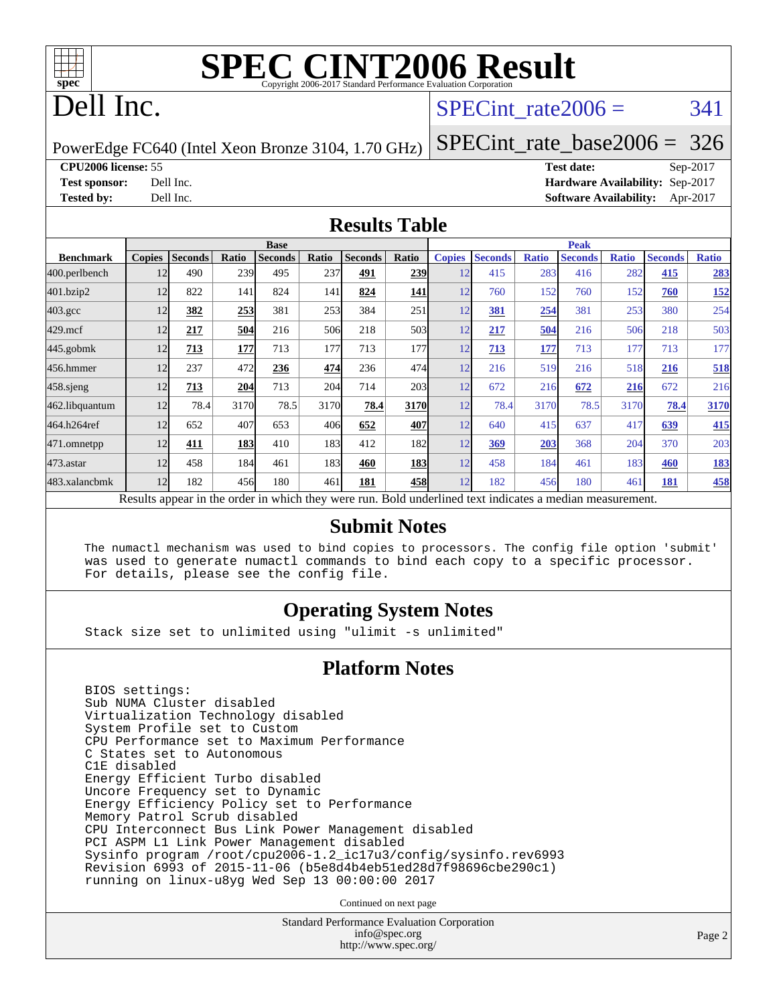

## Dell Inc.

#### SPECint rate $2006 = 341$

PowerEdge FC640 (Intel Xeon Bronze 3104, 1.70 GHz)

[SPECint\\_rate\\_base2006 =](http://www.spec.org/auto/cpu2006/Docs/result-fields.html#SPECintratebase2006) 326

**[CPU2006 license:](http://www.spec.org/auto/cpu2006/Docs/result-fields.html#CPU2006license)** 55 **[Test date:](http://www.spec.org/auto/cpu2006/Docs/result-fields.html#Testdate)** Sep-2017 **[Test sponsor:](http://www.spec.org/auto/cpu2006/Docs/result-fields.html#Testsponsor)** Dell Inc. **[Hardware Availability:](http://www.spec.org/auto/cpu2006/Docs/result-fields.html#HardwareAvailability)** Sep-2017 **[Tested by:](http://www.spec.org/auto/cpu2006/Docs/result-fields.html#Testedby)** Dell Inc. **[Software Availability:](http://www.spec.org/auto/cpu2006/Docs/result-fields.html#SoftwareAvailability)** Apr-2017

#### **[Results Table](http://www.spec.org/auto/cpu2006/Docs/result-fields.html#ResultsTable)**

|                  |                                                                                                          |                |            | <b>Base</b>    |       |                |       |               |                |              | <b>Peak</b>    |              |                |              |
|------------------|----------------------------------------------------------------------------------------------------------|----------------|------------|----------------|-------|----------------|-------|---------------|----------------|--------------|----------------|--------------|----------------|--------------|
| <b>Benchmark</b> | <b>Copies</b>                                                                                            | <b>Seconds</b> | Ratio      | <b>Seconds</b> | Ratio | <b>Seconds</b> | Ratio | <b>Copies</b> | <b>Seconds</b> | <b>Ratio</b> | <b>Seconds</b> | <b>Ratio</b> | <b>Seconds</b> | <b>Ratio</b> |
| 400.perlbench    | 12                                                                                                       | 490            | 239        | 495            | 237   | 491            | 239   | 12            | 415            | 283          | 416            | 282          | 415            | 283          |
| 401.bzip2        | 12                                                                                                       | 822            | 141        | 824            | 141   | 824            | 141   | 12            | 760            | 152          | 760            | 152          | 760            | <u>152</u>   |
| $403.\text{gcc}$ | 12                                                                                                       | 382            | 253        | 381            | 253   | 384            | 251   | 12            | 381            | 254          | 381            | 253          | 380            | 254          |
| $429$ .mcf       | 12                                                                                                       | 217            | 504        | 216            | 506   | 218            | 503   | 12            | 217            | 504          | 216            | 506          | 218            | 503          |
| $445$ .gobm $k$  | 12                                                                                                       | 713            | 177        | 713            | 177   | 713            | 177   | 12            | 713            | 177          | 713            | 177          | 713            | 177          |
| 456.hmmer        | 12                                                                                                       | 237            | 472        | 236            | 474   | 236            | 474   | 12            | 216            | 519          | 216            | 518          | 216            | 518          |
| $458$ .sjeng     | 12                                                                                                       | 713            | 204        | 713            | 204   | 714            | 203   | 12            | 672            | 216          | 672            | 216          | 672            | 216          |
| 462.libquantum   | 12                                                                                                       | 78.4           | 3170       | 78.5           | 3170  | 78.4           | 3170  | 12            | 78.4           | 3170         | 78.5           | 3170         | 78.4           | 3170         |
| 464.h264ref      | 12                                                                                                       | 652            | 407        | 653            | 406   | 652            | 407   | 12            | 640            | 415          | 637            | 417          | 639            | 415          |
| 471.omnetpp      | 12                                                                                                       | 411            | <b>183</b> | 410            | 183I  | 412            | 182   | 12            | 369            | 203          | 368            | 204          | 370            | 203          |
| 473.astar        | 12                                                                                                       | 458            | 184        | 461            | 183I  | 460            | 183   | 12            | 458            | 184          | 461            | 183          | 460            | <b>183</b>   |
| 483.xalancbmk    | 12                                                                                                       | 182            | 456        | 180            | 461   | 181            | 458   | 12            | 182            | 456          | 180            | 461          | 181            | 458          |
|                  | Results appear in the order in which they were run. Bold underlined text indicates a median measurement. |                |            |                |       |                |       |               |                |              |                |              |                |              |

#### **[Submit Notes](http://www.spec.org/auto/cpu2006/Docs/result-fields.html#SubmitNotes)**

 The numactl mechanism was used to bind copies to processors. The config file option 'submit' was used to generate numactl commands to bind each copy to a specific processor. For details, please see the config file.

#### **[Operating System Notes](http://www.spec.org/auto/cpu2006/Docs/result-fields.html#OperatingSystemNotes)**

Stack size set to unlimited using "ulimit -s unlimited"

#### **[Platform Notes](http://www.spec.org/auto/cpu2006/Docs/result-fields.html#PlatformNotes)**

 BIOS settings: Sub NUMA Cluster disabled Virtualization Technology disabled System Profile set to Custom CPU Performance set to Maximum Performance C States set to Autonomous C1E disabled Energy Efficient Turbo disabled Uncore Frequency set to Dynamic Energy Efficiency Policy set to Performance Memory Patrol Scrub disabled CPU Interconnect Bus Link Power Management disabled PCI ASPM L1 Link Power Management disabled Sysinfo program /root/cpu2006-1.2\_ic17u3/config/sysinfo.rev6993 Revision 6993 of 2015-11-06 (b5e8d4b4eb51ed28d7f98696cbe290c1) running on linux-u8yg Wed Sep 13 00:00:00 2017

Continued on next page

Standard Performance Evaluation Corporation [info@spec.org](mailto:info@spec.org) <http://www.spec.org/>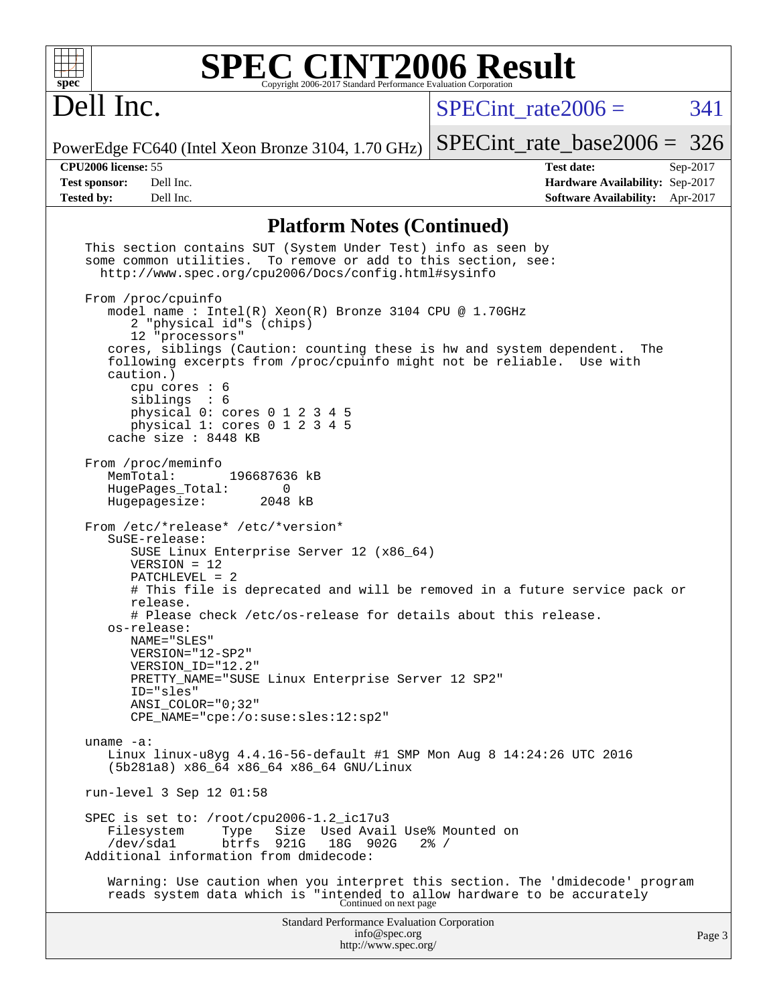

## Dell Inc.

 $SPECTnt_rate2006 = 341$ 

PowerEdge FC640 (Intel Xeon Bronze 3104, 1.70 GHz) [SPECint\\_rate\\_base2006 =](http://www.spec.org/auto/cpu2006/Docs/result-fields.html#SPECintratebase2006) 326

**[CPU2006 license:](http://www.spec.org/auto/cpu2006/Docs/result-fields.html#CPU2006license)** 55 **[Test date:](http://www.spec.org/auto/cpu2006/Docs/result-fields.html#Testdate)** Sep-2017 **[Test sponsor:](http://www.spec.org/auto/cpu2006/Docs/result-fields.html#Testsponsor)** Dell Inc. **[Hardware Availability:](http://www.spec.org/auto/cpu2006/Docs/result-fields.html#HardwareAvailability)** Sep-2017 **[Tested by:](http://www.spec.org/auto/cpu2006/Docs/result-fields.html#Testedby)** Dell Inc. **[Software Availability:](http://www.spec.org/auto/cpu2006/Docs/result-fields.html#SoftwareAvailability)** Apr-2017

#### **[Platform Notes \(Continued\)](http://www.spec.org/auto/cpu2006/Docs/result-fields.html#PlatformNotes)**

| This section contains SUT (System Under Test) info as seen by<br>some common utilities. To remove or add to this section, see:<br>http://www.spec.org/cpu2006/Docs/config.html#sysinfo                                                                                                                                                                                                                                                                                                                    |        |
|-----------------------------------------------------------------------------------------------------------------------------------------------------------------------------------------------------------------------------------------------------------------------------------------------------------------------------------------------------------------------------------------------------------------------------------------------------------------------------------------------------------|--------|
| From /proc/cpuinfo<br>model name : Intel(R) Xeon(R) Bronze 3104 CPU @ 1.70GHz<br>2 "physical id"s (chips)<br>12 "processors"<br>cores, siblings (Caution: counting these is hw and system dependent. The<br>following excerpts from /proc/cpuinfo might not be reliable. Use with<br>caution.)<br>cpu cores $: 6$<br>sibling: 6<br>physical 0: cores 0 1 2 3 4 5<br>physical 1: cores 0 1 2 3 4 5<br>cache size: 8448 KB                                                                                  |        |
| From /proc/meminfo<br>MemTotal:<br>196687636 kB<br>HugePages_Total:<br>0<br>Hugepagesize: 2048 kB                                                                                                                                                                                                                                                                                                                                                                                                         |        |
| From /etc/*release* /etc/*version*<br>SuSE-release:<br>SUSE Linux Enterprise Server 12 (x86_64)<br>$VERSION = 12$<br>PATCHLEVEL = 2<br># This file is deprecated and will be removed in a future service pack or<br>release.<br># Please check /etc/os-release for details about this release.<br>os-release:<br>NAME="SLES"<br>VERSION="12-SP2"<br>VERSION_ID="12.2"<br>PRETTY_NAME="SUSE Linux Enterprise Server 12 SP2"<br>ID="sles"<br>$ANSI$ _COLOR=" $0:32$ "<br>CPE_NAME="cpe:/o:suse:sles:12:sp2" |        |
| $uname -a:$<br>Linux linux-u8yg 4.4.16-56-default #1 SMP Mon Aug 8 14:24:26 UTC 2016<br>(5b281a8) x86_64 x86_64 x86_64 GNU/Linux                                                                                                                                                                                                                                                                                                                                                                          |        |
| run-level 3 Sep 12 01:58                                                                                                                                                                                                                                                                                                                                                                                                                                                                                  |        |
| SPEC is set to: /root/cpu2006-1.2_ic17u3<br>Size Used Avail Use% Mounted on<br>Filesystem<br>Type<br>18G 902G<br>/dev/sda1<br>btrfs<br>921G<br>$2\frac{3}{6}$ /<br>Additional information from dmidecode:                                                                                                                                                                                                                                                                                                 |        |
| Warning: Use caution when you interpret this section. The 'dmidecode' program<br>reads system data which is "intended to allow hardware to be accurately<br>Continued on next page                                                                                                                                                                                                                                                                                                                        |        |
| <b>Standard Performance Evaluation Corporation</b><br>info@spec.org<br>http://www.spec.org/                                                                                                                                                                                                                                                                                                                                                                                                               | Page 3 |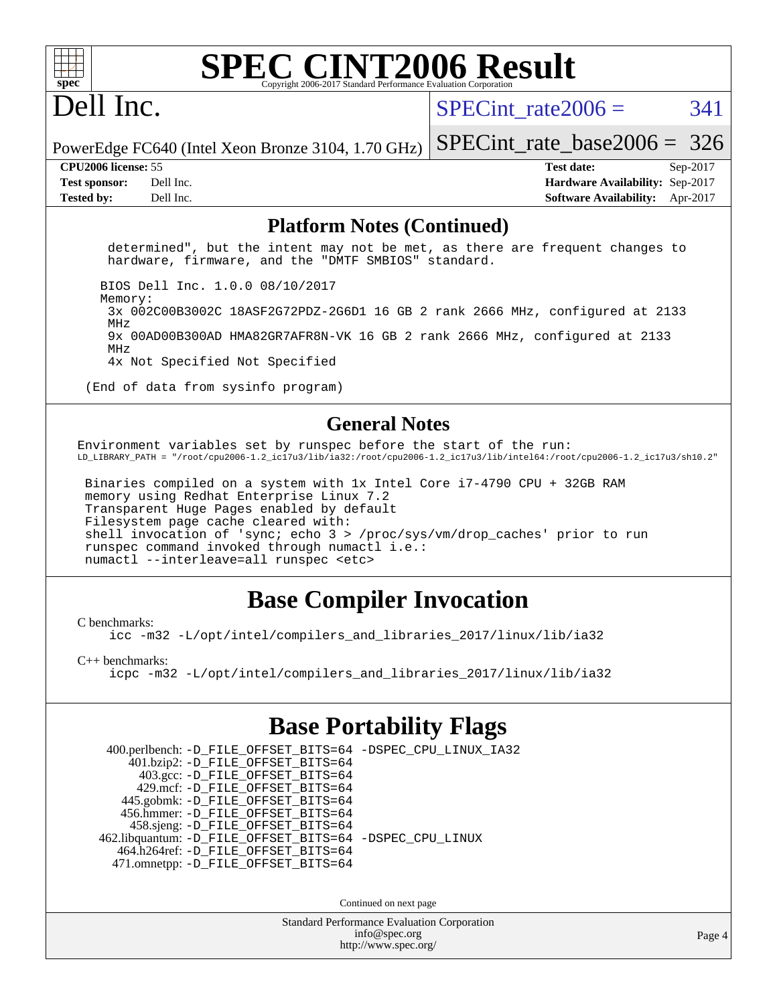## Dell Inc.

SPECint rate $2006 = 341$ 

PowerEdge FC640 (Intel Xeon Bronze 3104, 1.70 GHz) [SPECint\\_rate\\_base2006 =](http://www.spec.org/auto/cpu2006/Docs/result-fields.html#SPECintratebase2006) 326

**[CPU2006 license:](http://www.spec.org/auto/cpu2006/Docs/result-fields.html#CPU2006license)** 55 **[Test date:](http://www.spec.org/auto/cpu2006/Docs/result-fields.html#Testdate)** Sep-2017 **[Test sponsor:](http://www.spec.org/auto/cpu2006/Docs/result-fields.html#Testsponsor)** Dell Inc. **[Hardware Availability:](http://www.spec.org/auto/cpu2006/Docs/result-fields.html#HardwareAvailability)** Sep-2017 **[Tested by:](http://www.spec.org/auto/cpu2006/Docs/result-fields.html#Testedby)** Dell Inc. **[Software Availability:](http://www.spec.org/auto/cpu2006/Docs/result-fields.html#SoftwareAvailability)** Apr-2017

#### **[Platform Notes \(Continued\)](http://www.spec.org/auto/cpu2006/Docs/result-fields.html#PlatformNotes)**

 determined", but the intent may not be met, as there are frequent changes to hardware, firmware, and the "DMTF SMBIOS" standard.

BIOS Dell Inc. 1.0.0 08/10/2017

Memory:

 3x 002C00B3002C 18ASF2G72PDZ-2G6D1 16 GB 2 rank 2666 MHz, configured at 2133 MHz 9x 00AD00B300AD HMA82GR7AFR8N-VK 16 GB 2 rank 2666 MHz, configured at 2133 MHz

4x Not Specified Not Specified

(End of data from sysinfo program)

#### **[General Notes](http://www.spec.org/auto/cpu2006/Docs/result-fields.html#GeneralNotes)**

Environment variables set by runspec before the start of the run: LD\_LIBRARY\_PATH = "/root/cpu2006-1.2\_ic17u3/lib/ia32:/root/cpu2006-1.2\_ic17u3/lib/intel64:/root/cpu2006-1.2\_ic17u3/sh10.2"

 Binaries compiled on a system with 1x Intel Core i7-4790 CPU + 32GB RAM memory using Redhat Enterprise Linux 7.2 Transparent Huge Pages enabled by default Filesystem page cache cleared with: shell invocation of 'sync; echo 3 > /proc/sys/vm/drop\_caches' prior to run runspec command invoked through numactl i.e.: numactl --interleave=all runspec <etc>

### **[Base Compiler Invocation](http://www.spec.org/auto/cpu2006/Docs/result-fields.html#BaseCompilerInvocation)**

[C benchmarks](http://www.spec.org/auto/cpu2006/Docs/result-fields.html#Cbenchmarks):

[icc -m32 -L/opt/intel/compilers\\_and\\_libraries\\_2017/linux/lib/ia32](http://www.spec.org/cpu2006/results/res2017q4/cpu2006-20170918-49823.flags.html#user_CCbase_intel_icc_c29f3ff5a7ed067b11e4ec10a03f03ae)

[C++ benchmarks:](http://www.spec.org/auto/cpu2006/Docs/result-fields.html#CXXbenchmarks)

[icpc -m32 -L/opt/intel/compilers\\_and\\_libraries\\_2017/linux/lib/ia32](http://www.spec.org/cpu2006/results/res2017q4/cpu2006-20170918-49823.flags.html#user_CXXbase_intel_icpc_8c35c7808b62dab9ae41a1aa06361b6b)

### **[Base Portability Flags](http://www.spec.org/auto/cpu2006/Docs/result-fields.html#BasePortabilityFlags)**

 400.perlbench: [-D\\_FILE\\_OFFSET\\_BITS=64](http://www.spec.org/cpu2006/results/res2017q4/cpu2006-20170918-49823.flags.html#user_basePORTABILITY400_perlbench_file_offset_bits_64_438cf9856305ebd76870a2c6dc2689ab) [-DSPEC\\_CPU\\_LINUX\\_IA32](http://www.spec.org/cpu2006/results/res2017q4/cpu2006-20170918-49823.flags.html#b400.perlbench_baseCPORTABILITY_DSPEC_CPU_LINUX_IA32) 401.bzip2: [-D\\_FILE\\_OFFSET\\_BITS=64](http://www.spec.org/cpu2006/results/res2017q4/cpu2006-20170918-49823.flags.html#user_basePORTABILITY401_bzip2_file_offset_bits_64_438cf9856305ebd76870a2c6dc2689ab) 403.gcc: [-D\\_FILE\\_OFFSET\\_BITS=64](http://www.spec.org/cpu2006/results/res2017q4/cpu2006-20170918-49823.flags.html#user_basePORTABILITY403_gcc_file_offset_bits_64_438cf9856305ebd76870a2c6dc2689ab) 429.mcf: [-D\\_FILE\\_OFFSET\\_BITS=64](http://www.spec.org/cpu2006/results/res2017q4/cpu2006-20170918-49823.flags.html#user_basePORTABILITY429_mcf_file_offset_bits_64_438cf9856305ebd76870a2c6dc2689ab) 445.gobmk: [-D\\_FILE\\_OFFSET\\_BITS=64](http://www.spec.org/cpu2006/results/res2017q4/cpu2006-20170918-49823.flags.html#user_basePORTABILITY445_gobmk_file_offset_bits_64_438cf9856305ebd76870a2c6dc2689ab) 456.hmmer: [-D\\_FILE\\_OFFSET\\_BITS=64](http://www.spec.org/cpu2006/results/res2017q4/cpu2006-20170918-49823.flags.html#user_basePORTABILITY456_hmmer_file_offset_bits_64_438cf9856305ebd76870a2c6dc2689ab) 458.sjeng: [-D\\_FILE\\_OFFSET\\_BITS=64](http://www.spec.org/cpu2006/results/res2017q4/cpu2006-20170918-49823.flags.html#user_basePORTABILITY458_sjeng_file_offset_bits_64_438cf9856305ebd76870a2c6dc2689ab) 462.libquantum: [-D\\_FILE\\_OFFSET\\_BITS=64](http://www.spec.org/cpu2006/results/res2017q4/cpu2006-20170918-49823.flags.html#user_basePORTABILITY462_libquantum_file_offset_bits_64_438cf9856305ebd76870a2c6dc2689ab) [-DSPEC\\_CPU\\_LINUX](http://www.spec.org/cpu2006/results/res2017q4/cpu2006-20170918-49823.flags.html#b462.libquantum_baseCPORTABILITY_DSPEC_CPU_LINUX) 464.h264ref: [-D\\_FILE\\_OFFSET\\_BITS=64](http://www.spec.org/cpu2006/results/res2017q4/cpu2006-20170918-49823.flags.html#user_basePORTABILITY464_h264ref_file_offset_bits_64_438cf9856305ebd76870a2c6dc2689ab) 471.omnetpp: [-D\\_FILE\\_OFFSET\\_BITS=64](http://www.spec.org/cpu2006/results/res2017q4/cpu2006-20170918-49823.flags.html#user_basePORTABILITY471_omnetpp_file_offset_bits_64_438cf9856305ebd76870a2c6dc2689ab)

Continued on next page

Standard Performance Evaluation Corporation [info@spec.org](mailto:info@spec.org) <http://www.spec.org/>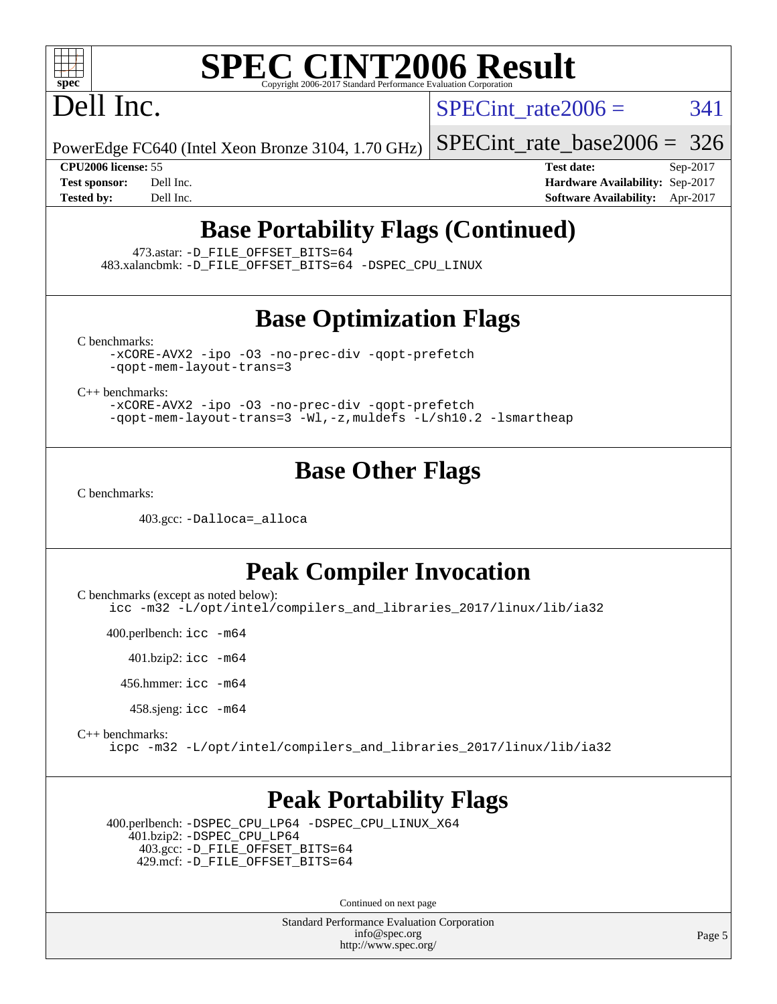

## Dell Inc.

SPECint rate $2006 = 341$ 

PowerEdge FC640 (Intel Xeon Bronze 3104, 1.70 GHz)

[SPECint\\_rate\\_base2006 =](http://www.spec.org/auto/cpu2006/Docs/result-fields.html#SPECintratebase2006) 326

**[CPU2006 license:](http://www.spec.org/auto/cpu2006/Docs/result-fields.html#CPU2006license)** 55 **[Test date:](http://www.spec.org/auto/cpu2006/Docs/result-fields.html#Testdate)** Sep-2017 **[Test sponsor:](http://www.spec.org/auto/cpu2006/Docs/result-fields.html#Testsponsor)** Dell Inc. **[Hardware Availability:](http://www.spec.org/auto/cpu2006/Docs/result-fields.html#HardwareAvailability)** Sep-2017 **[Tested by:](http://www.spec.org/auto/cpu2006/Docs/result-fields.html#Testedby)** Dell Inc. **[Software Availability:](http://www.spec.org/auto/cpu2006/Docs/result-fields.html#SoftwareAvailability)** Apr-2017

### **[Base Portability Flags \(Continued\)](http://www.spec.org/auto/cpu2006/Docs/result-fields.html#BasePortabilityFlags)**

473.astar: [-D\\_FILE\\_OFFSET\\_BITS=64](http://www.spec.org/cpu2006/results/res2017q4/cpu2006-20170918-49823.flags.html#user_basePORTABILITY473_astar_file_offset_bits_64_438cf9856305ebd76870a2c6dc2689ab)

483.xalancbmk: [-D\\_FILE\\_OFFSET\\_BITS=64](http://www.spec.org/cpu2006/results/res2017q4/cpu2006-20170918-49823.flags.html#user_basePORTABILITY483_xalancbmk_file_offset_bits_64_438cf9856305ebd76870a2c6dc2689ab) [-DSPEC\\_CPU\\_LINUX](http://www.spec.org/cpu2006/results/res2017q4/cpu2006-20170918-49823.flags.html#b483.xalancbmk_baseCXXPORTABILITY_DSPEC_CPU_LINUX)

#### **[Base Optimization Flags](http://www.spec.org/auto/cpu2006/Docs/result-fields.html#BaseOptimizationFlags)**

[C benchmarks](http://www.spec.org/auto/cpu2006/Docs/result-fields.html#Cbenchmarks):

[-xCORE-AVX2](http://www.spec.org/cpu2006/results/res2017q4/cpu2006-20170918-49823.flags.html#user_CCbase_f-xCORE-AVX2) [-ipo](http://www.spec.org/cpu2006/results/res2017q4/cpu2006-20170918-49823.flags.html#user_CCbase_f-ipo) [-O3](http://www.spec.org/cpu2006/results/res2017q4/cpu2006-20170918-49823.flags.html#user_CCbase_f-O3) [-no-prec-div](http://www.spec.org/cpu2006/results/res2017q4/cpu2006-20170918-49823.flags.html#user_CCbase_f-no-prec-div) [-qopt-prefetch](http://www.spec.org/cpu2006/results/res2017q4/cpu2006-20170918-49823.flags.html#user_CCbase_f-qopt-prefetch) [-qopt-mem-layout-trans=3](http://www.spec.org/cpu2006/results/res2017q4/cpu2006-20170918-49823.flags.html#user_CCbase_f-qopt-mem-layout-trans_170f5be61cd2cedc9b54468c59262d5d)

[C++ benchmarks:](http://www.spec.org/auto/cpu2006/Docs/result-fields.html#CXXbenchmarks)

[-xCORE-AVX2](http://www.spec.org/cpu2006/results/res2017q4/cpu2006-20170918-49823.flags.html#user_CXXbase_f-xCORE-AVX2) [-ipo](http://www.spec.org/cpu2006/results/res2017q4/cpu2006-20170918-49823.flags.html#user_CXXbase_f-ipo) [-O3](http://www.spec.org/cpu2006/results/res2017q4/cpu2006-20170918-49823.flags.html#user_CXXbase_f-O3) [-no-prec-div](http://www.spec.org/cpu2006/results/res2017q4/cpu2006-20170918-49823.flags.html#user_CXXbase_f-no-prec-div) [-qopt-prefetch](http://www.spec.org/cpu2006/results/res2017q4/cpu2006-20170918-49823.flags.html#user_CXXbase_f-qopt-prefetch) [-qopt-mem-layout-trans=3](http://www.spec.org/cpu2006/results/res2017q4/cpu2006-20170918-49823.flags.html#user_CXXbase_f-qopt-mem-layout-trans_170f5be61cd2cedc9b54468c59262d5d) [-Wl,-z,muldefs](http://www.spec.org/cpu2006/results/res2017q4/cpu2006-20170918-49823.flags.html#user_CXXbase_link_force_multiple1_74079c344b956b9658436fd1b6dd3a8a) [-L/sh10.2 -lsmartheap](http://www.spec.org/cpu2006/results/res2017q4/cpu2006-20170918-49823.flags.html#user_CXXbase_SmartHeap_b831f2d313e2fffa6dfe3f00ffc1f1c0)

#### **[Base Other Flags](http://www.spec.org/auto/cpu2006/Docs/result-fields.html#BaseOtherFlags)**

[C benchmarks](http://www.spec.org/auto/cpu2006/Docs/result-fields.html#Cbenchmarks):

403.gcc: [-Dalloca=\\_alloca](http://www.spec.org/cpu2006/results/res2017q4/cpu2006-20170918-49823.flags.html#b403.gcc_baseEXTRA_CFLAGS_Dalloca_be3056838c12de2578596ca5467af7f3)

#### **[Peak Compiler Invocation](http://www.spec.org/auto/cpu2006/Docs/result-fields.html#PeakCompilerInvocation)**

[C benchmarks \(except as noted below\)](http://www.spec.org/auto/cpu2006/Docs/result-fields.html#Cbenchmarksexceptasnotedbelow):

[icc -m32 -L/opt/intel/compilers\\_and\\_libraries\\_2017/linux/lib/ia32](http://www.spec.org/cpu2006/results/res2017q4/cpu2006-20170918-49823.flags.html#user_CCpeak_intel_icc_c29f3ff5a7ed067b11e4ec10a03f03ae)

400.perlbench: [icc -m64](http://www.spec.org/cpu2006/results/res2017q4/cpu2006-20170918-49823.flags.html#user_peakCCLD400_perlbench_intel_icc_64bit_bda6cc9af1fdbb0edc3795bac97ada53)

401.bzip2: [icc -m64](http://www.spec.org/cpu2006/results/res2017q4/cpu2006-20170918-49823.flags.html#user_peakCCLD401_bzip2_intel_icc_64bit_bda6cc9af1fdbb0edc3795bac97ada53)

456.hmmer: [icc -m64](http://www.spec.org/cpu2006/results/res2017q4/cpu2006-20170918-49823.flags.html#user_peakCCLD456_hmmer_intel_icc_64bit_bda6cc9af1fdbb0edc3795bac97ada53)

458.sjeng: [icc -m64](http://www.spec.org/cpu2006/results/res2017q4/cpu2006-20170918-49823.flags.html#user_peakCCLD458_sjeng_intel_icc_64bit_bda6cc9af1fdbb0edc3795bac97ada53)

[C++ benchmarks:](http://www.spec.org/auto/cpu2006/Docs/result-fields.html#CXXbenchmarks)

[icpc -m32 -L/opt/intel/compilers\\_and\\_libraries\\_2017/linux/lib/ia32](http://www.spec.org/cpu2006/results/res2017q4/cpu2006-20170918-49823.flags.html#user_CXXpeak_intel_icpc_8c35c7808b62dab9ae41a1aa06361b6b)

#### **[Peak Portability Flags](http://www.spec.org/auto/cpu2006/Docs/result-fields.html#PeakPortabilityFlags)**

 400.perlbench: [-DSPEC\\_CPU\\_LP64](http://www.spec.org/cpu2006/results/res2017q4/cpu2006-20170918-49823.flags.html#b400.perlbench_peakCPORTABILITY_DSPEC_CPU_LP64) [-DSPEC\\_CPU\\_LINUX\\_X64](http://www.spec.org/cpu2006/results/res2017q4/cpu2006-20170918-49823.flags.html#b400.perlbench_peakCPORTABILITY_DSPEC_CPU_LINUX_X64) 401.bzip2: [-DSPEC\\_CPU\\_LP64](http://www.spec.org/cpu2006/results/res2017q4/cpu2006-20170918-49823.flags.html#suite_peakCPORTABILITY401_bzip2_DSPEC_CPU_LP64) 403.gcc: [-D\\_FILE\\_OFFSET\\_BITS=64](http://www.spec.org/cpu2006/results/res2017q4/cpu2006-20170918-49823.flags.html#user_peakPORTABILITY403_gcc_file_offset_bits_64_438cf9856305ebd76870a2c6dc2689ab) 429.mcf: [-D\\_FILE\\_OFFSET\\_BITS=64](http://www.spec.org/cpu2006/results/res2017q4/cpu2006-20170918-49823.flags.html#user_peakPORTABILITY429_mcf_file_offset_bits_64_438cf9856305ebd76870a2c6dc2689ab)

Continued on next page

Standard Performance Evaluation Corporation [info@spec.org](mailto:info@spec.org) <http://www.spec.org/>

Page 5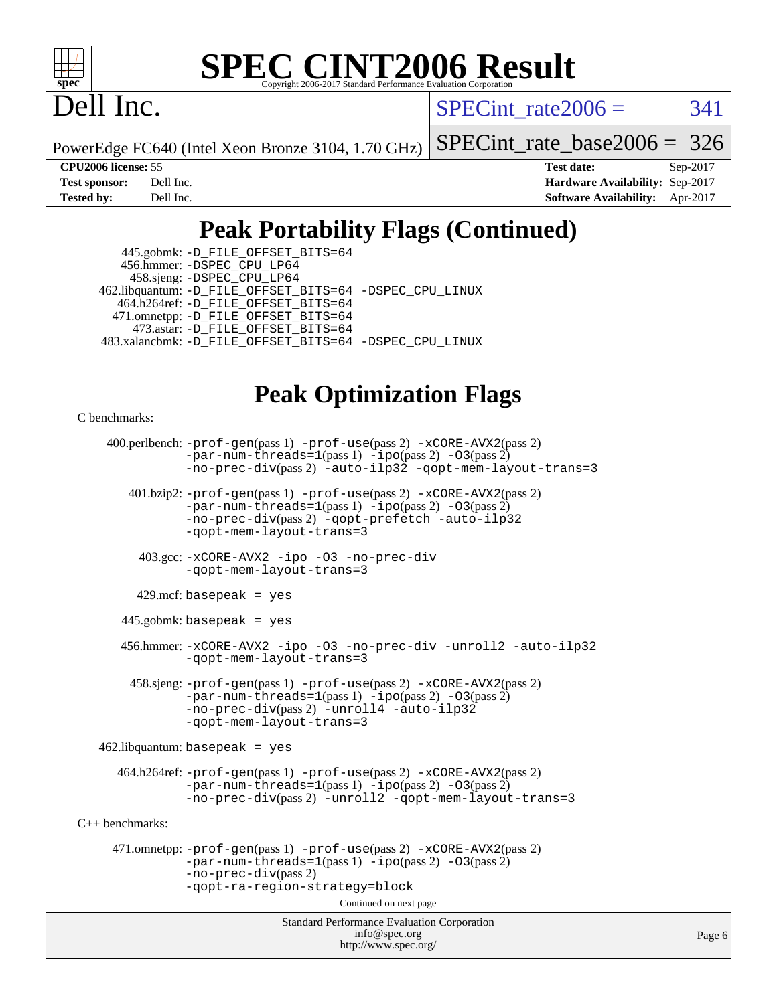

Dell Inc.

SPECint rate $2006 = 341$ 

PowerEdge FC640 (Intel Xeon Bronze 3104, 1.70 GHz)

[SPECint\\_rate\\_base2006 =](http://www.spec.org/auto/cpu2006/Docs/result-fields.html#SPECintratebase2006) 326

**[CPU2006 license:](http://www.spec.org/auto/cpu2006/Docs/result-fields.html#CPU2006license)** 55 **[Test date:](http://www.spec.org/auto/cpu2006/Docs/result-fields.html#Testdate)** Sep-2017 **[Test sponsor:](http://www.spec.org/auto/cpu2006/Docs/result-fields.html#Testsponsor)** Dell Inc. **[Hardware Availability:](http://www.spec.org/auto/cpu2006/Docs/result-fields.html#HardwareAvailability)** Sep-2017 **[Tested by:](http://www.spec.org/auto/cpu2006/Docs/result-fields.html#Testedby)** Dell Inc. **[Software Availability:](http://www.spec.org/auto/cpu2006/Docs/result-fields.html#SoftwareAvailability)** Apr-2017

### **[Peak Portability Flags \(Continued\)](http://www.spec.org/auto/cpu2006/Docs/result-fields.html#PeakPortabilityFlags)**

 445.gobmk: [-D\\_FILE\\_OFFSET\\_BITS=64](http://www.spec.org/cpu2006/results/res2017q4/cpu2006-20170918-49823.flags.html#user_peakPORTABILITY445_gobmk_file_offset_bits_64_438cf9856305ebd76870a2c6dc2689ab) 456.hmmer: [-DSPEC\\_CPU\\_LP64](http://www.spec.org/cpu2006/results/res2017q4/cpu2006-20170918-49823.flags.html#suite_peakCPORTABILITY456_hmmer_DSPEC_CPU_LP64) 458.sjeng: [-DSPEC\\_CPU\\_LP64](http://www.spec.org/cpu2006/results/res2017q4/cpu2006-20170918-49823.flags.html#suite_peakCPORTABILITY458_sjeng_DSPEC_CPU_LP64) 462.libquantum: [-D\\_FILE\\_OFFSET\\_BITS=64](http://www.spec.org/cpu2006/results/res2017q4/cpu2006-20170918-49823.flags.html#user_peakPORTABILITY462_libquantum_file_offset_bits_64_438cf9856305ebd76870a2c6dc2689ab) [-DSPEC\\_CPU\\_LINUX](http://www.spec.org/cpu2006/results/res2017q4/cpu2006-20170918-49823.flags.html#b462.libquantum_peakCPORTABILITY_DSPEC_CPU_LINUX) 464.h264ref: [-D\\_FILE\\_OFFSET\\_BITS=64](http://www.spec.org/cpu2006/results/res2017q4/cpu2006-20170918-49823.flags.html#user_peakPORTABILITY464_h264ref_file_offset_bits_64_438cf9856305ebd76870a2c6dc2689ab) 471.omnetpp: [-D\\_FILE\\_OFFSET\\_BITS=64](http://www.spec.org/cpu2006/results/res2017q4/cpu2006-20170918-49823.flags.html#user_peakPORTABILITY471_omnetpp_file_offset_bits_64_438cf9856305ebd76870a2c6dc2689ab) 473.astar: [-D\\_FILE\\_OFFSET\\_BITS=64](http://www.spec.org/cpu2006/results/res2017q4/cpu2006-20170918-49823.flags.html#user_peakPORTABILITY473_astar_file_offset_bits_64_438cf9856305ebd76870a2c6dc2689ab) 483.xalancbmk: [-D\\_FILE\\_OFFSET\\_BITS=64](http://www.spec.org/cpu2006/results/res2017q4/cpu2006-20170918-49823.flags.html#user_peakPORTABILITY483_xalancbmk_file_offset_bits_64_438cf9856305ebd76870a2c6dc2689ab) [-DSPEC\\_CPU\\_LINUX](http://www.spec.org/cpu2006/results/res2017q4/cpu2006-20170918-49823.flags.html#b483.xalancbmk_peakCXXPORTABILITY_DSPEC_CPU_LINUX)

## **[Peak Optimization Flags](http://www.spec.org/auto/cpu2006/Docs/result-fields.html#PeakOptimizationFlags)**

[C benchmarks](http://www.spec.org/auto/cpu2006/Docs/result-fields.html#Cbenchmarks):

```
Standard Performance Evaluation Corporation
                                        info@spec.org
     400.perlbench: -prof-gen(pass 1) -prof-use(pass 2) -xCORE-AVX2(pass 2)
               -par-num-threads=1-ipo-O3(pass 2)-no-prec-div(pass 2) -auto-ilp32 -qopt-mem-layout-trans=3
        401.bzip2: -prof-gen(pass 1) -prof-use(pass 2) -xCORE-AVX2(pass 2)
                -par-num-threads=1(pass 1) -ipo(pass 2) -O3(pass 2)
                -no-prec-div(pass 2) -qopt-prefetch -auto-ilp32
               -qopt-mem-layout-trans=3
         403.gcc: -xCORE-AVX2 -ipo -O3 -no-prec-div
                -qopt-mem-layout-trans=3
        429.mcf: basepeak = yes
       445.gobmk: basepeak = yes
       456.hmmer: -xCORE-AVX2 -ipo -O3 -no-prec-div -unroll2 -auto-ilp32
                -qopt-mem-layout-trans=3
        458.sjeng: -prof-gen(pass 1) -prof-use(pass 2) -xCORE-AVX2(pass 2)
               -par-num-threads=1-ipo-O3(pass 2)-no-prec-div-unroll4-auto-ilp32
                -qopt-mem-layout-trans=3
   462.libquantum: basepeak = yes
      464.h264ref: -prof-gen(pass 1) -prof-use(pass 2) -xCORE-AVX2(pass 2)
               -par-num-threads=1(pass 1) -ipo(pass 2) -O3(pass 2)
               -no-prec-div(pass 2) -unroll2 -qopt-mem-layout-trans=3
C++ benchmarks: 
      471.omnetpp: -prof-gen(pass 1) -prof-use(pass 2) -xCORE-AVX2(pass 2)
                -par-num-threads=1-ipo-O3(pass 2)-no-prec-div(pass 2)
               -qopt-ra-region-strategy=block 
                                      Continued on next page
```
<http://www.spec.org/>